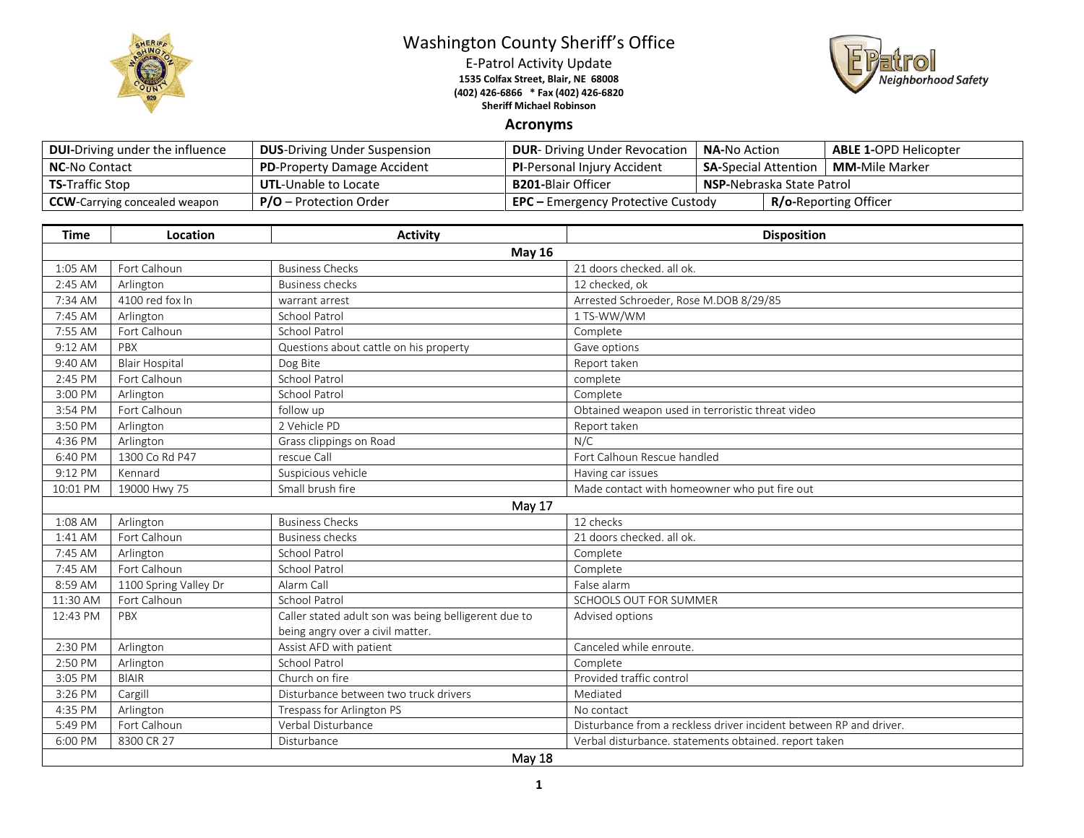

## Washington County Sheriff's Office

E-Patrol Activity Update **1535 Colfax Street, Blair, NE 68008 (402) 426-6866 \* Fax (402) 426-6820 Sheriff Michael Robinson**



## **Acronyms**

| <b>DUI-Driving under the influence</b> | <b>DUS-Driving Under Suspension</b> | <b>DUR-</b> Driving Under Revocation      | <b>NA-No Action</b>              |  | <b>ABLE 1-OPD Helicopter</b> |
|----------------------------------------|-------------------------------------|-------------------------------------------|----------------------------------|--|------------------------------|
| <b>NC-No Contact</b>                   | <b>PD-Property Damage Accident</b>  | <b>PI-Personal Injury Accident</b>        | <b>SA-</b> Special Attention     |  | <b>MM-</b> Mile Marker       |
| <b>TS-Traffic Stop</b>                 | <b>UTL-Unable to Locate</b>         | <b>B201-</b> Blair Officer                | <b>NSP-Nebraska State Patrol</b> |  |                              |
| <b>CCW</b> -Carrying concealed weapon  | $P/O -$ Protection Order            | <b>EPC</b> – Emergency Protective Custody |                                  |  | <b>R/o-Reporting Officer</b> |

| <b>Time</b> | Location              | <b>Activity</b>                                                                          | <b>Disposition</b>                                                 |  |  |  |
|-------------|-----------------------|------------------------------------------------------------------------------------------|--------------------------------------------------------------------|--|--|--|
|             | <b>May 16</b>         |                                                                                          |                                                                    |  |  |  |
| 1:05 AM     | Fort Calhoun          | <b>Business Checks</b>                                                                   | 21 doors checked. all ok.                                          |  |  |  |
| 2:45 AM     | Arlington             | <b>Business checks</b>                                                                   | 12 checked, ok                                                     |  |  |  |
| 7:34 AM     | 4100 red fox In       | warrant arrest                                                                           | Arrested Schroeder, Rose M.DOB 8/29/85                             |  |  |  |
| 7:45 AM     | Arlington             | <b>School Patrol</b>                                                                     | 1 TS-WW/WM                                                         |  |  |  |
| 7:55 AM     | Fort Calhoun          | <b>School Patrol</b>                                                                     | Complete                                                           |  |  |  |
| $9:12$ AM   | PBX                   | Questions about cattle on his property                                                   | Gave options                                                       |  |  |  |
| 9:40 AM     | <b>Blair Hospital</b> | Dog Bite                                                                                 | Report taken                                                       |  |  |  |
| 2:45 PM     | Fort Calhoun          | <b>School Patrol</b>                                                                     | complete                                                           |  |  |  |
| 3:00 PM     | Arlington             | <b>School Patrol</b>                                                                     | Complete                                                           |  |  |  |
| 3:54 PM     | Fort Calhoun          | follow up                                                                                | Obtained weapon used in terroristic threat video                   |  |  |  |
| 3:50 PM     | Arlington             | 2 Vehicle PD                                                                             | Report taken                                                       |  |  |  |
| 4:36 PM     | Arlington             | Grass clippings on Road                                                                  | N/C                                                                |  |  |  |
| 6:40 PM     | 1300 Co Rd P47        | rescue Call                                                                              | Fort Calhoun Rescue handled                                        |  |  |  |
| 9:12 PM     | Kennard               | Suspicious vehicle                                                                       | Having car issues                                                  |  |  |  |
| 10:01 PM    | 19000 Hwy 75          | Small brush fire                                                                         | Made contact with homeowner who put fire out                       |  |  |  |
|             |                       | May 17                                                                                   |                                                                    |  |  |  |
| 1:08 AM     | Arlington             | <b>Business Checks</b>                                                                   | 12 checks                                                          |  |  |  |
| 1:41 AM     | Fort Calhoun          | <b>Business checks</b>                                                                   | 21 doors checked, all ok.                                          |  |  |  |
| 7:45 AM     | Arlington             | <b>School Patrol</b>                                                                     | Complete                                                           |  |  |  |
| 7:45 AM     | Fort Calhoun          | School Patrol                                                                            | Complete                                                           |  |  |  |
| 8:59 AM     | 1100 Spring Valley Dr | Alarm Call                                                                               | False alarm                                                        |  |  |  |
| 11:30 AM    | Fort Calhoun          | <b>School Patrol</b>                                                                     | SCHOOLS OUT FOR SUMMER                                             |  |  |  |
| 12:43 PM    | PBX                   | Caller stated adult son was being belligerent due to<br>being angry over a civil matter. | Advised options                                                    |  |  |  |
| 2:30 PM     | Arlington             | Assist AFD with patient                                                                  | Canceled while enroute.                                            |  |  |  |
| 2:50 PM     | Arlington             | School Patrol                                                                            | Complete                                                           |  |  |  |
| 3:05 PM     | <b>BIAIR</b>          | Church on fire                                                                           | Provided traffic control                                           |  |  |  |
| 3:26 PM     | Cargill               | Disturbance between two truck drivers                                                    | Mediated                                                           |  |  |  |
| 4:35 PM     | Arlington             | Trespass for Arlington PS                                                                | No contact                                                         |  |  |  |
| 5:49 PM     | Fort Calhoun          | Verbal Disturbance                                                                       | Disturbance from a reckless driver incident between RP and driver. |  |  |  |
| 6:00 PM     | 8300 CR 27            | Disturbance                                                                              | Verbal disturbance. statements obtained. report taken              |  |  |  |
| May 18      |                       |                                                                                          |                                                                    |  |  |  |